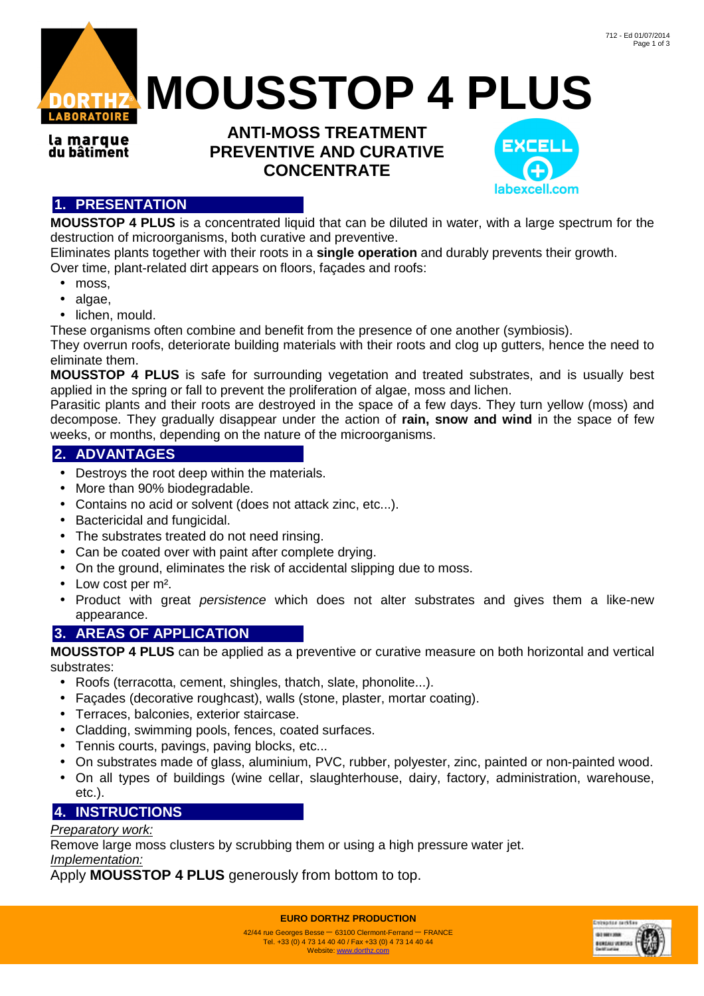

**MOUSSTOP 4 PLUS**

la marque du bâtiment

**ANTI-MOSS TREATMENT PREVENTIVE AND CURATIVE CONCENTRATE** 



# **1. PRESENTATION**

**MOUSSTOP 4 PLUS** is a concentrated liquid that can be diluted in water, with a large spectrum for the destruction of microorganisms, both curative and preventive.

Eliminates plants together with their roots in a **single operation** and durably prevents their growth. Over time, plant-related dirt appears on floors, façades and roofs:

- moss,
- algae,
- lichen, mould.

These organisms often combine and benefit from the presence of one another (symbiosis).

They overrun roofs, deteriorate building materials with their roots and clog up gutters, hence the need to eliminate them.

**MOUSSTOP 4 PLUS** is safe for surrounding vegetation and treated substrates, and is usually best applied in the spring or fall to prevent the proliferation of algae, moss and lichen.

Parasitic plants and their roots are destroyed in the space of a few days. They turn yellow (moss) and decompose. They gradually disappear under the action of **rain, snow and wind** in the space of few weeks, or months, depending on the nature of the microorganisms.

### **2. ADVANTAGES**

- Destroys the root deep within the materials.
- More than 90% biodegradable.
- Contains no acid or solvent (does not attack zinc, etc...).
- Bactericidal and fungicidal.
- The substrates treated do not need rinsing.
- Can be coated over with paint after complete drying.
- On the ground, eliminates the risk of accidental slipping due to moss.
- Low cost per m².
- Product with great persistence which does not alter substrates and gives them a like-new appearance.

## **3. AREAS OF APPLICATION**

**MOUSSTOP 4 PLUS** can be applied as a preventive or curative measure on both horizontal and vertical substrates:

- Roofs (terracotta, cement, shingles, thatch, slate, phonolite...).
- Façades (decorative roughcast), walls (stone, plaster, mortar coating).
- Terraces, balconies, exterior staircase.
- Cladding, swimming pools, fences, coated surfaces.
- Tennis courts, pavings, paving blocks, etc...
- On substrates made of glass, aluminium, PVC, rubber, polyester, zinc, painted or non-painted wood.
- On all types of buildings (wine cellar, slaughterhouse, dairy, factory, administration, warehouse, etc.).

# **4. INSTRUCTIONS**

### Preparatory work:

Remove large moss clusters by scrubbing them or using a high pressure water jet. Implementation:

Apply **MOUSSTOP 4 PLUS** generously from bottom to top.

**EURO DORTHZ PRODUCTION**



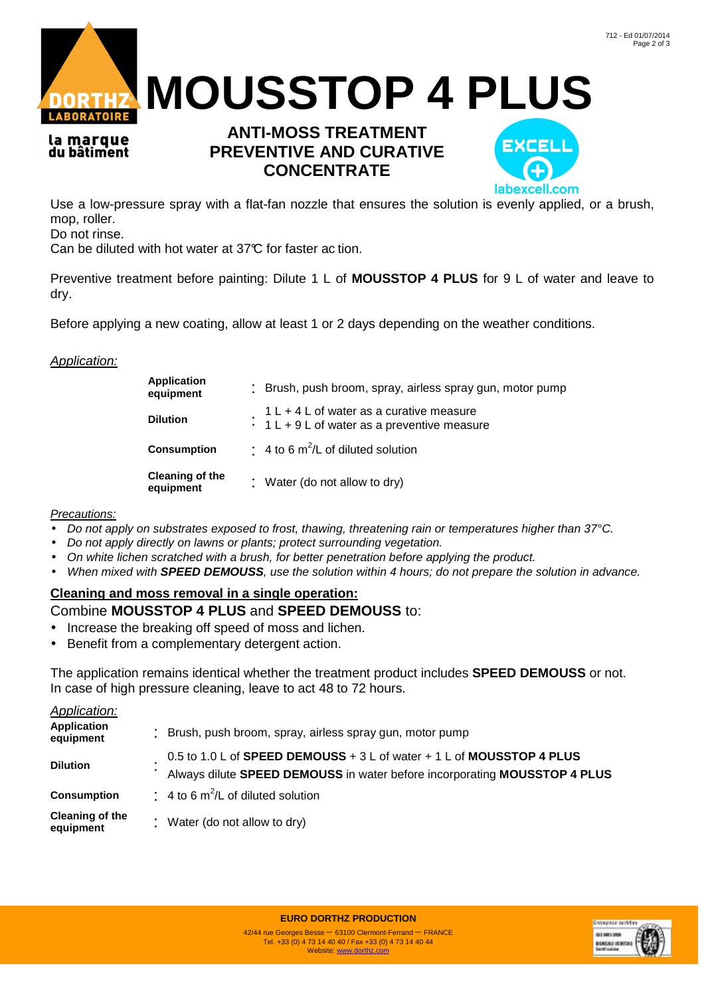



la marque du bâtiment

# **ANTI-MOSS TREATMENT PREVENTIVE AND CURATIVE CONCENTRATE**



Use a low-pressure spray with a flat-fan nozzle that ensures the solution is evenly applied, or a brush, mop, roller.

Do not rinse.

Can be diluted with hot water at 37°C for faster ac tion.

Preventive treatment before painting: Dilute 1 L of **MOUSSTOP 4 PLUS** for 9 L of water and leave to dry.

Before applying a new coating, allow at least 1 or 2 days depending on the weather conditions.

#### Application:

| Application<br>equipment            | : Brush, push broom, spray, airless spray gun, motor pump                                        |  |
|-------------------------------------|--------------------------------------------------------------------------------------------------|--|
| <b>Dilution</b>                     | $1 L + 4 L$ of water as a curative measure<br>$\cdot 1 L + 9 L$ of water as a preventive measure |  |
| <b>Consumption</b>                  | $\div$ 4 to 6 m <sup>2</sup> /L of diluted solution                                              |  |
| <b>Cleaning of the</b><br>equipment | : Water (do not allow to dry)                                                                    |  |

#### Precautions:

- Do not apply on substrates exposed to frost, thawing, threatening rain or temperatures higher than 37°C.
- Do not apply directly on lawns or plants; protect surrounding vegetation.
- On white lichen scratched with a brush, for better penetration before applying the product.
- When mixed with **SPEED DEMOUSS**, use the solution within 4 hours; do not prepare the solution in advance.

#### **Cleaning and moss removal in a single operation:**

#### Combine **MOUSSTOP 4 PLUS** and **SPEED DEMOUSS** to:

- Increase the breaking off speed of moss and lichen.
- Benefit from a complementary detergent action.

The application remains identical whether the treatment product includes **SPEED DEMOUSS** or not. In case of high pressure cleaning, leave to act 48 to 72 hours.

| <b>Application:</b>                 |                                                                                                                                                    |
|-------------------------------------|----------------------------------------------------------------------------------------------------------------------------------------------------|
| <b>Application</b><br>equipment     | : Brush, push broom, spray, airless spray gun, motor pump                                                                                          |
| <b>Dilution</b>                     | 0.5 to 1.0 L of SPEED DEMOUSS + 3 L of water + 1 L of MOUSSTOP 4 PLUS<br>Always dilute SPEED DEMOUSS in water before incorporating MOUSSTOP 4 PLUS |
| <b>Consumption</b>                  | $\div$ 4 to 6 m <sup>2</sup> /L of diluted solution                                                                                                |
| <b>Cleaning of the</b><br>equipment | : Water (do not allow to dry)                                                                                                                      |

**EURO DORTHZ PRODUCTION**